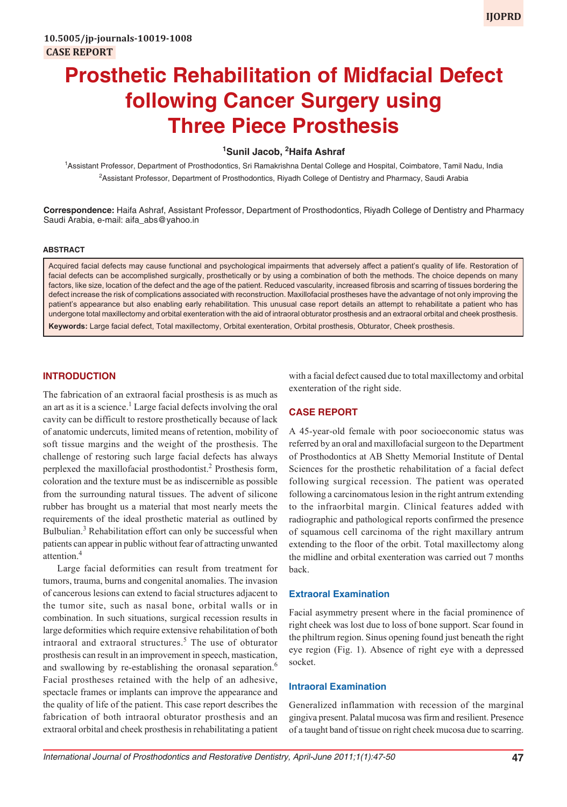# **Prosthetic Rehabilitation of Midfacial Defect following Cancer Surgery using Three Piece Prosthesis**

## **1 Sunil Jacob, 2 Haifa Ashraf**

1 Assistant Professor, Department of Prosthodontics, Sri Ramakrishna Dental College and Hospital, Coimbatore, Tamil Nadu, India 2 Assistant Professor, Department of Prosthodontics, Riyadh College of Dentistry and Pharmacy, Saudi Arabia

**Correspondence:** Haifa Ashraf, Assistant Professor, Department of Prosthodontics, Riyadh College of Dentistry and Pharmacy Saudi Arabia, e-mail: aifa\_abs@yahoo.in

#### **ABSTRACT**

Acquired facial defects may cause functional and psychological impairments that adversely affect a patient's quality of life. Restoration of facial defects can be accomplished surgically, prosthetically or by using a combination of both the methods. The choice depends on many factors, like size, location of the defect and the age of the patient. Reduced vascularity, increased fibrosis and scarring of tissues bordering the defect increase the risk of complications associated with reconstruction. Maxillofacial prostheses have the advantage of not only improving the patient's appearance but also enabling early rehabilitation. This unusual case report details an attempt to rehabilitate a patient who has undergone total maxillectomy and orbital exenteration with the aid of intraoral obturator prosthesis and an extraoral orbital and cheek prosthesis. **Keywords:** Large facial defect, Total maxillectomy, Orbital exenteration, Orbital prosthesis, Obturator, Cheek prosthesis.

## **INTRODUCTION**

The fabrication of an extraoral facial prosthesis is as much as an art as it is a science.<sup>1</sup> Large facial defects involving the oral cavity can be difficult to restore prosthetically because of lack of anatomic undercuts, limited means of retention, mobility of soft tissue margins and the weight of the prosthesis. The challenge of restoring such large facial defects has always perplexed the maxillofacial prosthodontist.<sup>2</sup> Prosthesis form, coloration and the texture must be as indiscernible as possible from the surrounding natural tissues. The advent of silicone rubber has brought us a material that most nearly meets the requirements of the ideal prosthetic material as outlined by Bulbulian.<sup>3</sup> Rehabilitation effort can only be successful when patients can appear in public without fear of attracting unwanted attention.4

Large facial deformities can result from treatment for tumors, trauma, burns and congenital anomalies. The invasion of cancerous lesions can extend to facial structures adjacent to the tumor site, such as nasal bone, orbital walls or in combination. In such situations, surgical recession results in large deformities which require extensive rehabilitation of both intraoral and extraoral structures.<sup>5</sup> The use of obturator prosthesis can result in an improvement in speech, mastication, and swallowing by re-establishing the oronasal separation.<sup>6</sup> Facial prostheses retained with the help of an adhesive, spectacle frames or implants can improve the appearance and the quality of life of the patient. This case report describes the fabrication of both intraoral obturator prosthesis and an extraoral orbital and cheek prosthesis in rehabilitating a patient with a facial defect caused due to total maxillectomy and orbital exenteration of the right side.

## **CASE REPORT**

A 45-year-old female with poor socioeconomic status was referred by an oral and maxillofacial surgeon to the Department of Prosthodontics at AB Shetty Memorial Institute of Dental Sciences for the prosthetic rehabilitation of a facial defect following surgical recession. The patient was operated following a carcinomatous lesion in the right antrum extending to the infraorbital margin. Clinical features added with radiographic and pathological reports confirmed the presence of squamous cell carcinoma of the right maxillary antrum extending to the floor of the orbit. Total maxillectomy along the midline and orbital exenteration was carried out 7 months back.

#### **Extraoral Examination**

Facial asymmetry present where in the facial prominence of right cheek was lost due to loss of bone support. Scar found in the philtrum region. Sinus opening found just beneath the right eye region (Fig. 1). Absence of right eye with a depressed socket.

### **Intraoral Examination**

Generalized inflammation with recession of the marginal gingiva present. Palatal mucosa was firm and resilient. Presence of a taught band of tissue on right cheek mucosa due to scarring.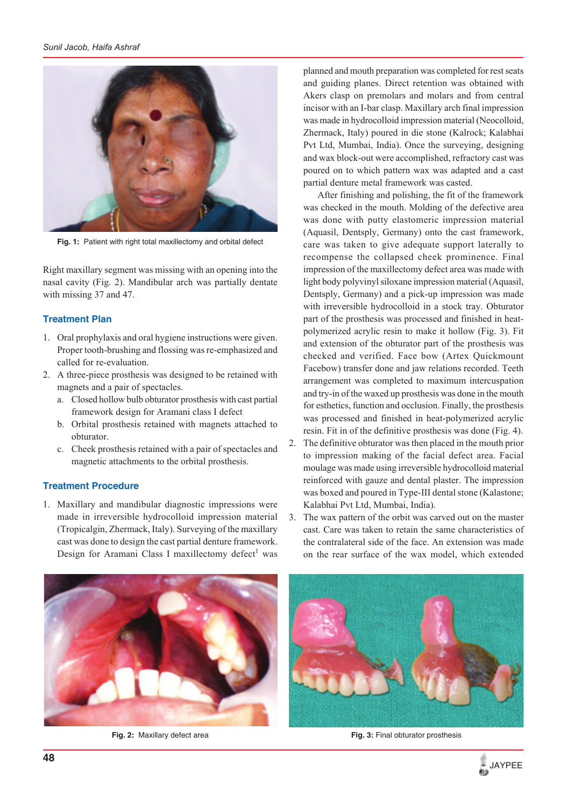

**Fig. 1:** Patient with right total maxillectomy and orbital defect

Right maxillary segment was missing with an opening into the nasal cavity (Fig. 2). Mandibular arch was partially dentate with missing 37 and 47.

# **Treatment Plan**

- 1. Oral prophylaxis and oral hygiene instructions were given. Proper tooth-brushing and flossing was re-emphasized and called for re-evaluation.
- 2. A three-piece prosthesis was designed to be retained with magnets and a pair of spectacles.
	- a. Closed hollow bulb obturator prosthesis with cast partial framework design for Aramani class I defect
	- b. Orbital prosthesis retained with magnets attached to obturator.
	- c. Cheek prosthesis retained with a pair of spectacles and magnetic attachments to the orbital prosthesis.

## **Treatment Procedure**

1. Maxillary and mandibular diagnostic impressions were made in irreversible hydrocolloid impression material (Tropicalgin, Zhermack, Italy). Surveying of the maxillary cast was done to design the cast partial denture framework. Design for Aramani Class I maxillectomy defect<sup>1</sup> was

planned and mouth preparation was completed for rest seats and guiding planes. Direct retention was obtained with Akers clasp on premolars and molars and from central incisor with an I-bar clasp. Maxillary arch final impression was made in hydrocolloid impression material (Neocolloid, Zhermack, Italy) poured in die stone (Kalrock; Kalabhai Pvt Ltd, Mumbai, India). Once the surveying, designing and wax block-out were accomplished, refractory cast was poured on to which pattern wax was adapted and a cast partial denture metal framework was casted.

After finishing and polishing, the fit of the framework was checked in the mouth. Molding of the defective area was done with putty elastomeric impression material (Aquasil, Dentsply, Germany) onto the cast framework, care was taken to give adequate support laterally to recompense the collapsed cheek prominence. Final impression of the maxillectomy defect area was made with light body polyvinyl siloxane impression material (Aquasil, Dentsply, Germany) and a pick-up impression was made with irreversible hydrocolloid in a stock tray. Obturator part of the prosthesis was processed and finished in heatpolymerized acrylic resin to make it hollow (Fig. 3). Fit and extension of the obturator part of the prosthesis was checked and verified. Face bow (Artex Quickmount Facebow) transfer done and jaw relations recorded. Teeth arrangement was completed to maximum intercuspation and try-in of the waxed up prosthesis was done in the mouth for esthetics, function and occlusion. Finally, the prosthesis was processed and finished in heat-polymerized acrylic resin. Fit in of the definitive prosthesis was done (Fig. 4).

- 2. The definitive obturator was then placed in the mouth prior to impression making of the facial defect area. Facial moulage was made using irreversible hydrocolloid material reinforced with gauze and dental plaster. The impression was boxed and poured in Type-III dental stone (Kalastone; Kalabhai Pvt Ltd, Mumbai, India).
- 3. The wax pattern of the orbit was carved out on the master cast. Care was taken to retain the same characteristics of the contralateral side of the face. An extension was made on the rear surface of the wax model, which extended





**Fig. 2:** Maxillary defect area **Fig. 3:** Final obturator prosthesis

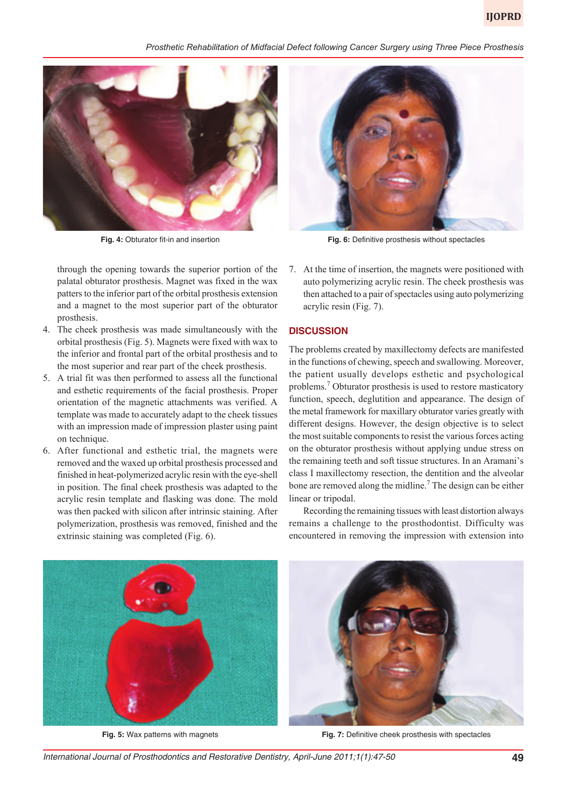*Prosthetic Rehabilitation of Midfacial Defect following Cancer Surgery using Three Piece Prosthesis*



**Fig. 4:** Obturator fit-in and insertion



**Fig. 6:** Definitive prosthesis without spectacles

through the opening towards the superior portion of the palatal obturator prosthesis. Magnet was fixed in the wax patters to the inferior part of the orbital prosthesis extension and a magnet to the most superior part of the obturator prosthesis.

- 4. The cheek prosthesis was made simultaneously with the orbital prosthesis (Fig. 5). Magnets were fixed with wax to the inferior and frontal part of the orbital prosthesis and to the most superior and rear part of the cheek prosthesis.
- 5. A trial fit was then performed to assess all the functional and esthetic requirements of the facial prosthesis. Proper orientation of the magnetic attachments was verified. A template was made to accurately adapt to the cheek tissues with an impression made of impression plaster using paint on technique.
- 6. After functional and esthetic trial, the magnets were removed and the waxed up orbital prosthesis processed and finished in heat-polymerized acrylic resin with the eye-shell in position. The final cheek prosthesis was adapted to the acrylic resin template and flasking was done. The mold was then packed with silicon after intrinsic staining. After polymerization, prosthesis was removed, finished and the extrinsic staining was completed (Fig. 6).

7. At the time of insertion, the magnets were positioned with auto polymerizing acrylic resin. The cheek prosthesis was then attached to a pair of spectacles using auto polymerizing acrylic resin (Fig. 7).

### **DISCUSSION**

The problems created by maxillectomy defects are manifested in the functions of chewing, speech and swallowing. Moreover, the patient usually develops esthetic and psychological problems.<sup>7</sup> Obturator prosthesis is used to restore masticatory function, speech, deglutition and appearance. The design of the metal framework for maxillary obturator varies greatly with different designs. However, the design objective is to select the most suitable components to resist the various forces acting on the obturator prosthesis without applying undue stress on the remaining teeth and soft tissue structures. In an Aramani's class I maxillectomy resection, the dentition and the alveolar bone are removed along the midline.<sup>7</sup> The design can be either linear or tripodal.

Recording the remaining tissues with least distortion always remains a challenge to the prosthodontist. Difficulty was encountered in removing the impression with extension into



**Fig. 5:** Wax patterns with magnets



**Fig. 7:** Definitive cheek prosthesis with spectacles